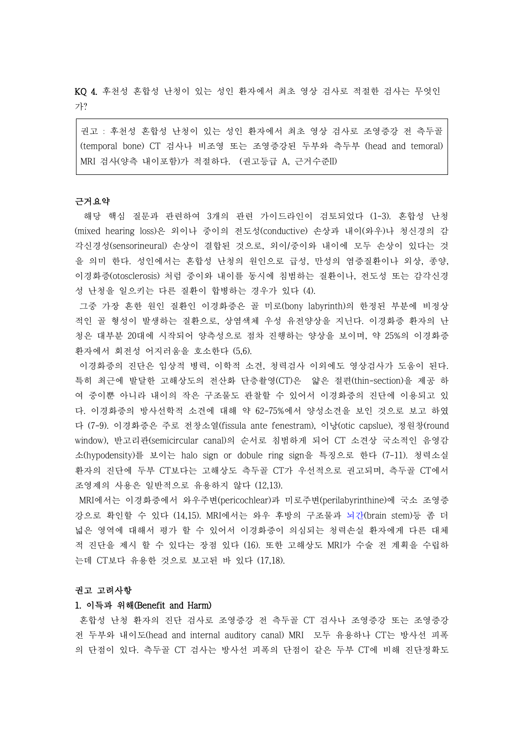KQ 4. 후천성 혼합성 난청이 있는 성인 환자에서 최초 영상 검사로 적절한 검사는 무엇인 가?

권고 : 후천성 혼합성 난청이 있는 성인 환자에서 최초 영상 검사로 조영증강 전 측두골 (temporal bone) CT 검사나 비조영 또는 조영증강된 두부와 측두부 (head and temoral) MRI 검사(양측 내이포함)가 적절하다. (권고등급 A, 근거수준II)

#### 근거요약

 해당 핵심 질문과 관련하여 3개의 관련 가이드라인이 검토되었다 (1-3). 혼합성 난청 (mixed hearing loss)은 외이나 중이의 전도성(conductive) 손상과 내이(와우)나 청신경의 감 각신경성(sensorineural) 손상이 결합된 것으로, 외이/중이와 내이에 모두 손상이 있다는 것 을 의미 한다. 성인에서는 혼합성 난청의 원인으로 급성, 만성의 염증질환이나 외상, 종양,<br>이경화증(otosclerosis) 처럼 중이와 내이를 동시에 침범하는 질환이나, 전도성 또는 감각신경 성 난청을 일으키는 다른 질환이 합병하는 경우가 있다 (4).

그중 가장 흔한 원인 질환인 이경화증은 골 미로(bony labyrinth)의 한정된 부분에 비정상 적인 골 형성이 발생하는 질환으로, 상염색체 우성 유전양상을 지닌다. 이경화증 환자의 난 청은 대부분 20대에 시작되어 양측성으로 점차 진행하는 양상을 보이며, 약 25%의 이경화증 환자에서 회전성 어지러움을 호소한다 (5,6).

이경화증의 진단은 임상적 병력, 이학적 소견, 청력검사 이외에도 영상검사가 도움이 된다.<br>특히 최근에 발달한 고해상도의 전산화 단층촬영(CT)은 얇은 절편(thin-section)을 제공 하 여 중이뿐 아니라 내이의 작은 구조물도 관찰할 수 있어서 이경화증의 진단에 이용되고 있 다. 이경화증의 방사선학적 소견에 대해 약 62-75%에서 양성소견을 보인 것으로 보고 하였 다 (7-9). 이경화증은 주로 전창소열(fissula ante fenestram), 이낭(otic capslue), 정원창(round window), 반고리관(semicircular canal)의 순서로 침범하게 되어 CT 소견상 국소적인 음영감 소(hypodensity)를 보이는 halo sign or dobule ring sign을 특징으로 한다 (7-11). 청력소실 환자의 진단에 두부 CT보다는 고해상도 측두골 CT가 우선적으로 권고되며, 측두골 CT에서 조영제의 사용은 일반적으로 유용하지 않다 (12,13).

MRI에서는 이경화증에서 와우주변(pericochlear)과 미로주변(perilabyrinthine)에 국소 조영증 강으로 확인할 수 있다 (14,15). MRI에서는 와우 후방의 구조물과 뇌간(brain stem)등 좀 더 넓은 영역에 대해서 평가 할 수 있어서 이경화증이 의심되는 청력손실 환자에게 다른 대체 적 진단을 제시 할 수 있다는 장점 있다 (16). 또한 고해상도 MRI가 수술 전 계획을 수립하 는데 CT보다 유용한 것으로 보고된 바 있다 (17,18).

### 권고 고려사항

# 1. 이득과 위해(Benefit and Harm)

혼합성 난청 환자의 진단 검사로 조영증강 전 측두골 CT 검사나 조영증강 또는 조영증강 전 두부와 내이도(head and internal auditory canal) MRI 모두 유용하나 CT는 방사선 피폭 의 단점이 있다. 측두골 CT 검사는 방사선 피폭의 단점이 같은 두부 CT에 비해 진단정확도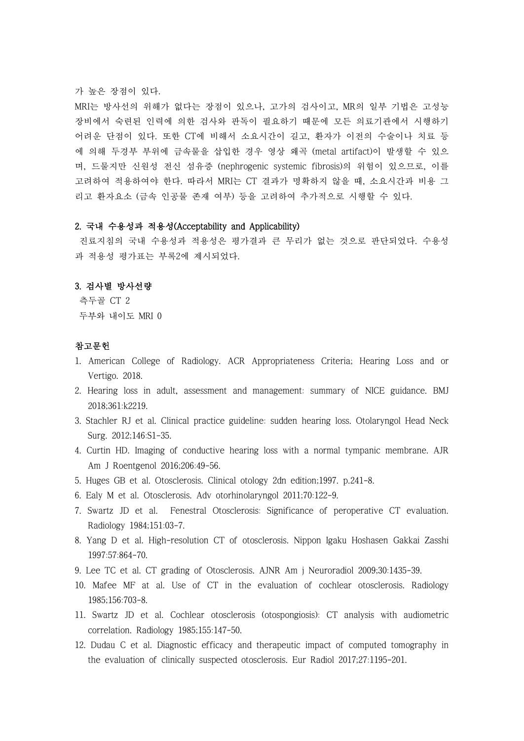가 높은 장점이 있다.<br>MRI는 방사선의 위해가 없다는 장점이 있으나, 고가의 검사이고, MR의 일부 기법은 고성능 장비에서 숙련된 인력에 의한 검사와 판독이 필요하기 때문에 모든 의료기관에서 시행하기 어려운 단점이 있다. 또한 CT에 비해서 소요시간이 길고, 환자가 이전의 수술이나 치료 등 에 의해 두경부 부위에 금속물을 삽입한 경우 영상 왜곡 (metal artifact)이 발생할 수 있으 며, 드물지만 신원성 전신 섬유증 (nephrogenic systemic fibrosis)의 위험이 있으므로, 이를 고려하여 적용하여야 한다. 따라서 MRI는 CT 결과가 명확하지 않을 때, 소요시간과 비용 그 리고 환자요소 (금속 인공물 존재 여부) 등을 고려하여 추가적으로 시행할 수 있다.

## 2. 국내 수용성과 적용성(Acceptability and Applicability)

진료지침의 국내 수용성과 적용성은 평가결과 큰 무리가 없는 것으로 판단되었다. 수용성 과 적용성 평가표는 부록2에 제시되었다.

### 3. 검사별 방사선량

측두골 CT 2 두부와 내이도 MRI 0

# 참고문헌

- 1. American College of Radiology. ACR Appropriateness Criteria; Hearing Loss and or Vertigo. 2018.
- 2. Hearing loss in adult, assessment and management: summary of NICE guidance. BMJ 2018;361:k2219.
- 3. Stachler RJ et al. Clinical practice guideline: sudden hearing loss. Otolaryngol Head Neck Surg. 2012;146:S1-35.
- 4. Curtin HD. Imaging of conductive hearing loss with a normal tympanic membrane. AJR Am J Roentgenol 2016;206:49-56.
- 5. Huges GB et al. Otosclerosis. Clinical otology 2dn edition;1997. p.241-8.
- 6. Ealy M et al. Otosclerosis. Adv otorhinolaryngol 2011;70:122-9.
- 7. Swartz JD et al. Fenestral Otosclerosis: Significance of peroperative CT evaluation. Radiology 1984;151:03-7.
- 8. Yang D et al. High-resolution CT of otosclerosis. Nippon Igaku Hoshasen Gakkai Zasshi 1997:57:864-70.
- 9. Lee TC et al. CT grading of Otosclerosis. AJNR Am j Neuroradiol 2009;30:1435-39.
- 10. Mafee MF at al. Use of CT in the evaluation of cochlear otosclerosis. Radiology 1985;156:703-8.
- 11. Swartz JD et al. Cochlear otosclerosis (otospongiosis): CT analysis with audiometric correlation. Radiology 1985;155:147-50.
- 12. Dudau C et al. Diagnostic efficacy and therapeutic impact of computed tomography in the evaluation of clinically suspected otosclerosis. Eur Radiol 2017;27:1195-201.